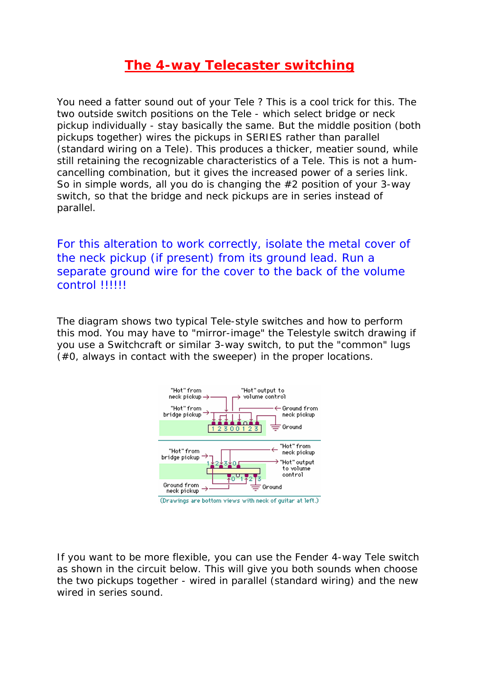## **The 4-way Telecaster switching**

You need a fatter sound out of your Tele ? This is a cool trick for this. The two outside switch positions on the Tele - which select bridge or neck pickup individually - stay basically the same. But the middle position (both pickups together) wires the pickups in SERIES rather than parallel (standard wiring on a Tele). This produces a thicker, meatier sound, while still retaining the recognizable characteristics of a Tele. This is not a humcancelling combination, but it gives the increased power of a series link. So in simple words, all you do is changing the #2 position of your 3-way switch, so that the bridge and neck pickups are in series instead of parallel.

For this alteration to work correctly, isolate the metal cover of the neck pickup (if present) from its ground lead. Run a separate ground wire for the cover to the back of the volume control !!!!!!

The diagram shows two typical Tele-style switches and how to perform this mod. You may have to "mirror-image" the Telestyle switch drawing if you use a Switchcraft or similar 3-way switch, to put the "common" lugs (#0, always in contact with the sweeper) in the proper locations.



If you want to be more flexible, you can use the Fender 4-way Tele switch as shown in the circuit below. This will give you both sounds when choose the two pickups together - wired in parallel (standard wiring) and the new wired in series sound.